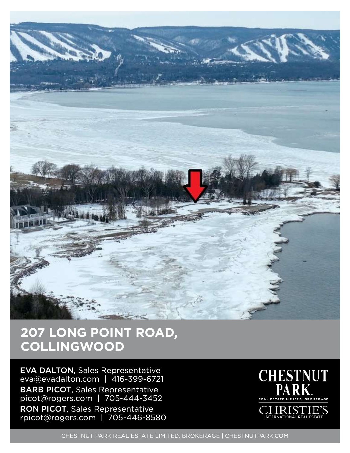

## 207 LONG POINT ROAD, **COLLINGWOOD**

EVA DALTON, Sales Representative eva@evadalton.com | 416-399-6721 BARB PICOT, Sales Representative picot@rogers.com | 70 5-444-3452 RON PICOT, Sales Representative rpicot@rogers.com | 705-446-8580



**ERNATIONAL REAL ESTA** 

CHESTNUT PARK REAL ESTATE LIMITED, BROKERAGE | CHESTNUTPARK.COM